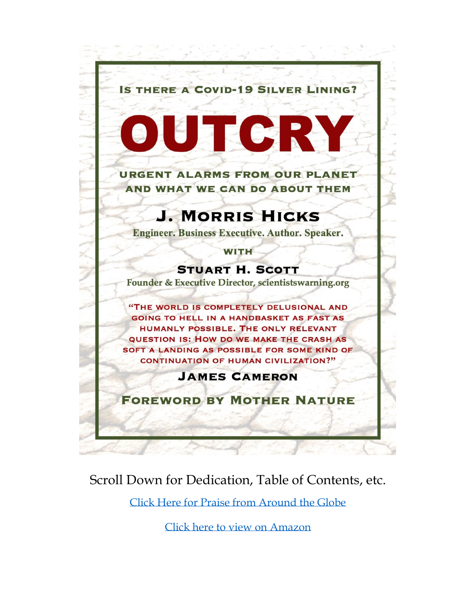

### Scroll Down for Dedication, Table of Contents, etc.

[Click Here for Praise from Around the Globe](https://hpjmhdotcom.files.wordpress.com/2020/04/0-praise-for-outcry-1.pdf)

[Click here to view on Amazon](https://amzn.to/36aQ4LK)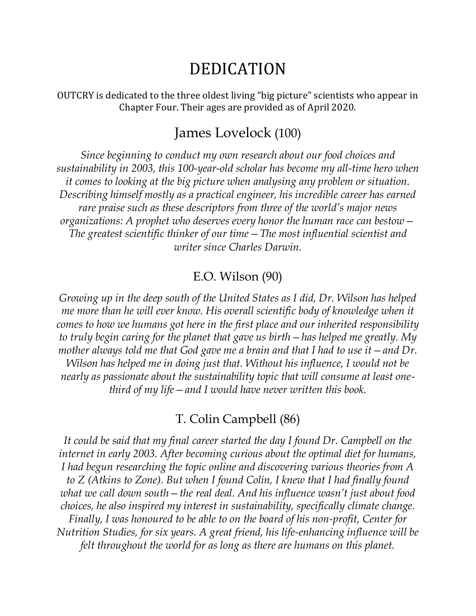## DEDICATION

OUTCRY is dedicated to the three oldest living "big picture" scientists who appear in Chapter Four. Their ages are provided as of April 2020.

#### James Lovelock (100)

*Since beginning to conduct my own research about our food choices and sustainability in 2003, this 100-year-old scholar has become my all-time hero when it comes to looking at the big picture when analysing any problem or situation. Describing himself mostly as a practical engineer, his incredible career has earned rare praise such as these descriptors from three of the world's major news organizations: A prophet who deserves every honor the human race can bestow— The greatest scientific thinker of our time—The most influential scientist and writer since Charles Darwin.*

#### E.O. Wilson (90)

*Growing up in the deep south of the United States as I did, Dr. Wilson has helped me more than he will ever know. His overall scientific body of knowledge when it comes to how we humans got here in the first place and our inherited responsibility to truly begin caring for the planet that gave us birth—has helped me greatly. My mother always told me that God gave me a brain and that I had to use it—and Dr. Wilson has helped me in doing just that. Without his influence, I would not be nearly as passionate about the sustainability topic that will consume at least onethird of my life—and I would have never written this book.* 

#### T. Colin Campbell (86)

It could be said that my final career started the day I found Dr. Campbell on the *internet in early 2003. After becoming curious about the optimal diet for humans, I had begun researching the topic online and discovering various theories from A to Z (Atkins to Zone). But when I found Colin, I knew that I had finally found what we call down south—the real deal. And his influence wasn't just about food choices, he also inspired my interest in sustainability, specifically climate change. Finally, I was honoured to be able to on the board of his non-profit, Center for Nutrition Studies, for six years. A great friend, his life-enhancing influence will be felt throughout the world for as long as there are humans on this planet.*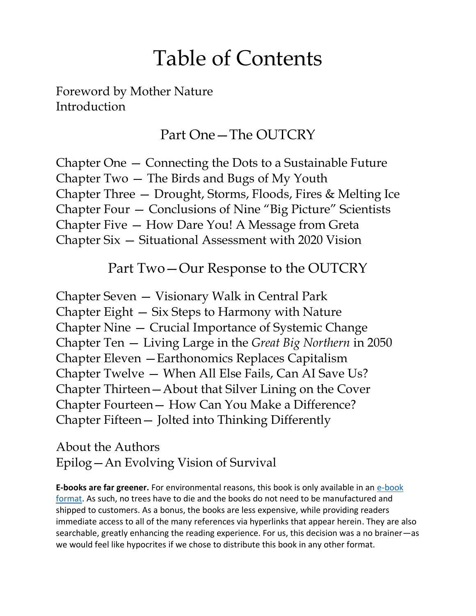# Table of Contents

Foreword by Mother Nature Introduction

### Part One—The OUTCRY

Chapter One — Connecting the Dots to a Sustainable Future Chapter Two — The Birds and Bugs of My Youth Chapter Three — Drought, Storms, Floods, Fires & Melting Ice Chapter Four — Conclusions of Nine "Big Picture" Scientists Chapter Five — How Dare You! A Message from Greta Chapter Six — Situational Assessment with 2020 Vision

#### Part Two—Our Response to the OUTCRY

Chapter Seven — Visionary Walk in Central Park Chapter Eight — Six Steps to Harmony with Nature Chapter Nine — Crucial Importance of Systemic Change Chapter Ten — Living Large in the *Great Big Northern* in 2050 Chapter Eleven —Earthonomics Replaces Capitalism Chapter Twelve — When All Else Fails, Can AI Save Us? Chapter Thirteen—About that Silver Lining on the Cover Chapter Fourteen— How Can You Make a Difference? Chapter Fifteen— Jolted into Thinking Differently

About the Authors Epilog—An Evolving Vision of Survival

**E-books are far greener.** For environmental reasons, this book is only available in an e-book [format.](https://amzn.to/36aQ4LK) As such, no trees have to die and the books do not need to be manufactured and shipped to customers. As a bonus, the books are less expensive, while providing readers immediate access to all of the many references via hyperlinks that appear herein. They are also searchable, greatly enhancing the reading experience. For us, this decision was a no brainer—as we would feel like hypocrites if we chose to distribute this book in any other format.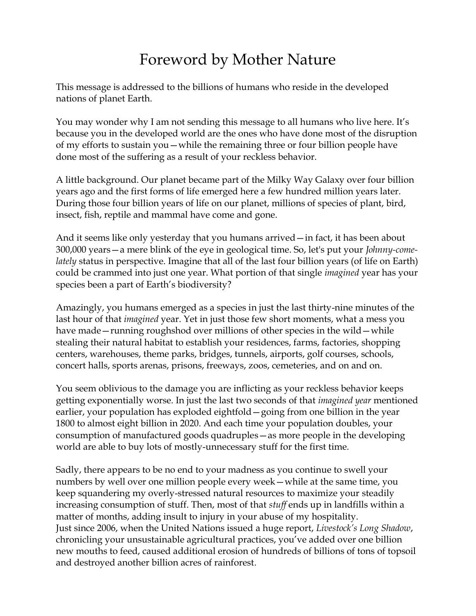## Foreword by Mother Nature

This message is addressed to the billions of humans who reside in the developed nations of planet Earth.

You may wonder why I am not sending this message to all humans who live here. It's because you in the developed world are the ones who have done most of the disruption of my efforts to sustain you—while the remaining three or four billion people have done most of the suffering as a result of your reckless behavior.

A little background. Our planet became part of the Milky Way Galaxy over four billion years ago and the first forms of life emerged here a few hundred million years later. During those four billion years of life on our planet, millions of species of plant, bird, insect, fish, reptile and mammal have come and gone.

And it seems like only yesterday that you humans arrived—in fact, it has been about 300,000 years—a mere blink of the eye in geological time. So, let's put your *Johnny-comelately* status in perspective. Imagine that all of the last four billion years (of life on Earth) could be crammed into just one year. What portion of that single *imagined* year has your species been a part of Earth's biodiversity?

Amazingly, you humans emerged as a species in just the last thirty-nine minutes of the last hour of that *imagined* year. Yet in just those few short moments, what a mess you have made—running roughshod over millions of other species in the wild—while stealing their natural habitat to establish your residences, farms, factories, shopping centers, warehouses, theme parks, bridges, tunnels, airports, golf courses, schools, concert halls, sports arenas, prisons, freeways, zoos, cemeteries, and on and on.

You seem oblivious to the damage you are inflicting as your reckless behavior keeps getting exponentially worse. In just the last two seconds of that *imagined year* mentioned earlier, your population has exploded eightfold—going from one billion in the year 1800 to almost eight billion in 2020. And each time your population doubles, your consumption of manufactured goods quadruples—as more people in the developing world are able to buy lots of mostly-unnecessary stuff for the first time.

Sadly, there appears to be no end to your madness as you continue to swell your numbers by well over one million people every week—while at the same time, you keep squandering my overly-stressed natural resources to maximize your steadily increasing consumption of stuff. Then, most of that *stuff* ends up in landfills within a matter of months, adding insult to injury in your abuse of my hospitality. Just since 2006, when the United Nations issued a huge report, *Livestock's Long Shadow*, chronicling your unsustainable agricultural practices, you've added over one billion new mouths to feed, caused additional erosion of hundreds of billions of tons of topsoil and destroyed another billion acres of rainforest.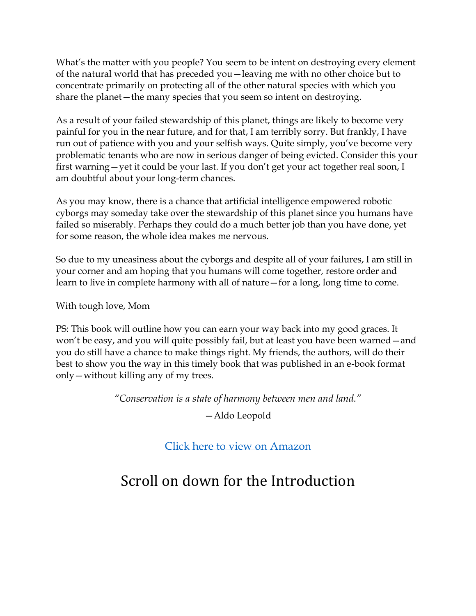What's the matter with you people? You seem to be intent on destroying every element of the natural world that has preceded you—leaving me with no other choice but to concentrate primarily on protecting all of the other natural species with which you share the planet—the many species that you seem so intent on destroying.

As a result of your failed stewardship of this planet, things are likely to become very painful for you in the near future, and for that, I am terribly sorry. But frankly, I have run out of patience with you and your selfish ways. Quite simply, you've become very problematic tenants who are now in serious danger of being evicted. Consider this your first warning—yet it could be your last. If you don't get your act together real soon, I am doubtful about your long-term chances.

As you may know, there is a chance that artificial intelligence empowered robotic cyborgs may someday take over the stewardship of this planet since you humans have failed so miserably. Perhaps they could do a much better job than you have done, yet for some reason, the whole idea makes me nervous.

So due to my uneasiness about the cyborgs and despite all of your failures, I am still in your corner and am hoping that you humans will come together, restore order and learn to live in complete harmony with all of nature—for a long, long time to come.

With tough love, Mom

PS: This book will outline how you can earn your way back into my good graces. It won't be easy, and you will quite possibly fail, but at least you have been warned—and you do still have a chance to make things right. My friends, the authors, will do their best to show you the way in this timely book that was published in an e-book format only—without killing any of my trees.

*"Conservation is a state of harmony between men and land."*

—Aldo Leopold

[Click here to](https://amzn.to/36aQ4LK) view on Amazon

## Scroll on down for the Introduction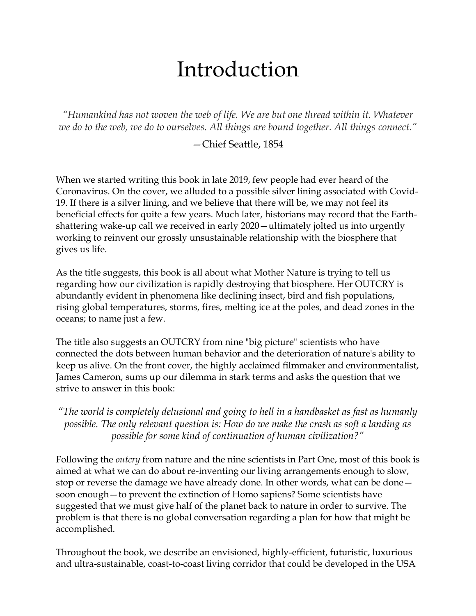# Introduction

*"Humankind has not woven the web of life. We are but one thread within it. Whatever we do to the web, we do to ourselves. All things are bound together. All things connect."*

—Chief Seattle, 1854

When we started writing this book in late 2019, few people had ever heard of the Coronavirus. On the cover, we alluded to a possible silver lining associated with Covid-19. If there is a silver lining, and we believe that there will be, we may not feel its beneficial effects for quite a few years. Much later, historians may record that the Earthshattering wake-up call we received in early 2020—ultimately jolted us into urgently working to reinvent our grossly unsustainable relationship with the biosphere that gives us life.

As the title suggests, this book is all about what Mother Nature is trying to tell us regarding how our civilization is rapidly destroying that biosphere. Her OUTCRY is abundantly evident in phenomena like declining insect, bird and fish populations, rising global temperatures, storms, fires, melting ice at the poles, and dead zones in the oceans; to name just a few.

The title also suggests an OUTCRY from nine "big picture" scientists who have connected the dots between human behavior and the deterioration of nature's ability to keep us alive. On the front cover, the highly acclaimed filmmaker and environmentalist, James Cameron, sums up our dilemma in stark terms and asks the question that we strive to answer in this book:

*"The world is completely delusional and going to hell in a handbasket as fast as humanly possible. The only relevant question is: How do we make the crash as soft a landing as possible for some kind of continuation of human civilization?"*

Following the *outcry* from nature and the nine scientists in Part One, most of this book is aimed at what we can do about re-inventing our living arrangements enough to slow, stop or reverse the damage we have already done. In other words, what can be done soon enough—to prevent the extinction of Homo sapiens? Some scientists have suggested that we must give half of the planet back to nature in order to survive. The problem is that there is no global conversation regarding a plan for how that might be accomplished.

Throughout the book, we describe an envisioned, highly-efficient, futuristic, luxurious and ultra-sustainable, coast-to-coast living corridor that could be developed in the USA